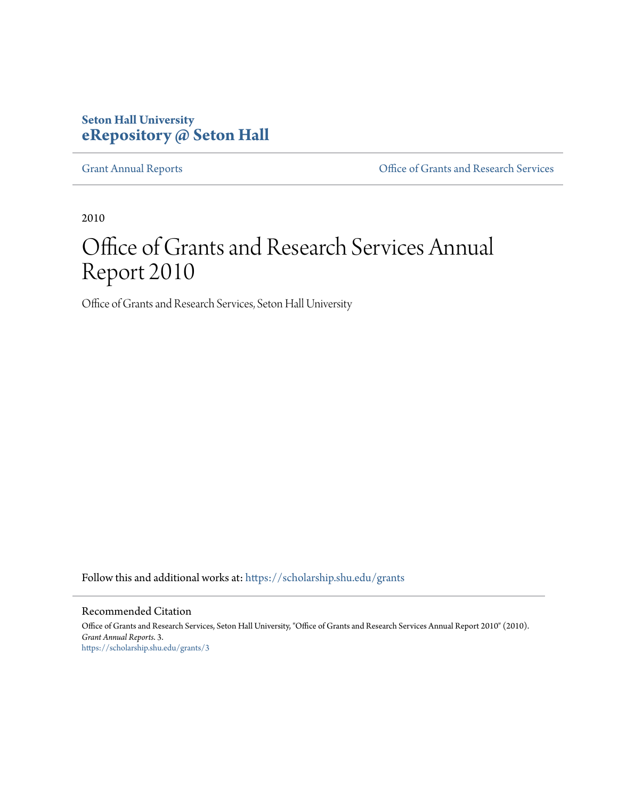#### **Seton Hall University [eRepository @ Seton Hall](https://scholarship.shu.edu?utm_source=scholarship.shu.edu%2Fgrants%2F3&utm_medium=PDF&utm_campaign=PDFCoverPages)**

[Grant Annual Reports](https://scholarship.shu.edu/grants?utm_source=scholarship.shu.edu%2Fgrants%2F3&utm_medium=PDF&utm_campaign=PDFCoverPages) [Office of Grants and Research Services](https://scholarship.shu.edu/ogrs?utm_source=scholarship.shu.edu%2Fgrants%2F3&utm_medium=PDF&utm_campaign=PDFCoverPages)

2010

# Office of Grants and Research Services Annual Report 2010

Office of Grants and Research Services, Seton Hall University

Follow this and additional works at: [https://scholarship.shu.edu/grants](https://scholarship.shu.edu/grants?utm_source=scholarship.shu.edu%2Fgrants%2F3&utm_medium=PDF&utm_campaign=PDFCoverPages)

#### Recommended Citation

Office of Grants and Research Services, Seton Hall University, "Office of Grants and Research Services Annual Report 2010" (2010). *Grant Annual Reports*. 3. [https://scholarship.shu.edu/grants/3](https://scholarship.shu.edu/grants/3?utm_source=scholarship.shu.edu%2Fgrants%2F3&utm_medium=PDF&utm_campaign=PDFCoverPages)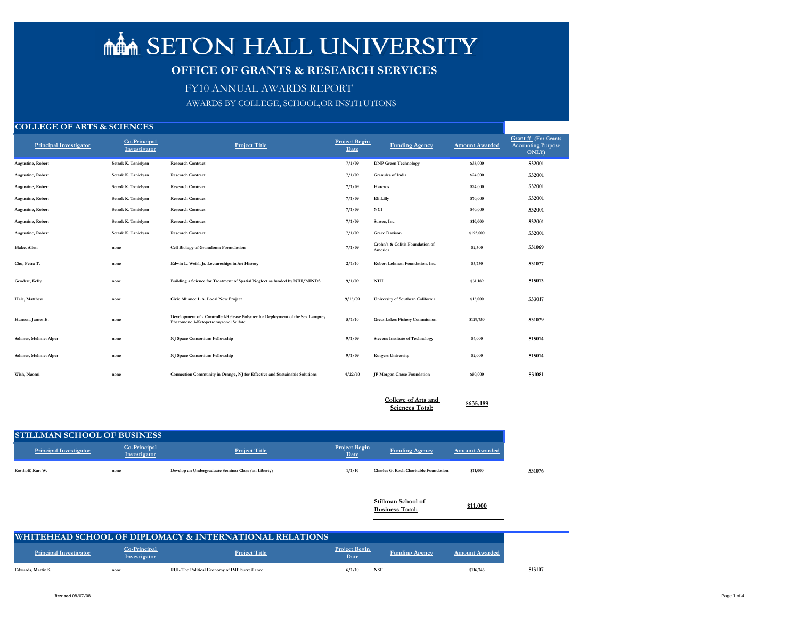| Grant # (For Grants<br><b>Accounting Purpose</b> |
|--------------------------------------------------|
| $\overline{\text{ONLY}}$                         |
| 532001                                           |
| 532001                                           |
| 532001                                           |
| 532001                                           |
| 532001                                           |
| 532001                                           |
| 532001                                           |
| 531069                                           |
| 531077                                           |
| 515013                                           |
| 533017                                           |
| 531079                                           |
| 515014                                           |
| 515014                                           |



| <b>Principal Investigator</b> | Co-Principal<br>Investigator | <b>Project Title</b>                                                                                                  | <b>Project Begin</b><br>Date | <b>Funding Agency</b>                      | <b>Amount Awarded</b> | Grant # $(F01$<br><b>Accounting F</b><br><b>ONLY</b> |
|-------------------------------|------------------------------|-----------------------------------------------------------------------------------------------------------------------|------------------------------|--------------------------------------------|-----------------------|------------------------------------------------------|
| <b>Augustine, Robert</b>      | Setrak K. Tanielyan          | <b>Research Contract</b>                                                                                              | 7/1/09                       | <b>DNP Green Technology</b>                | \$35,000              | 532001                                               |
| Augustine, Robert             | Setrak K. Tanielyan          | <b>Research Contract</b>                                                                                              | 7/1/09                       | <b>Granules</b> of India                   | \$24,000              | 532001                                               |
| <b>Augustine, Robert</b>      | Setrak K. Tanielyan          | <b>Research Contract</b>                                                                                              | 7/1/09                       | Harcros                                    | \$24,000              | 532001                                               |
| <b>Augustine, Robert</b>      | Setrak K. Tanielyan          | <b>Research Contract</b>                                                                                              | 7/1/09                       | Eli Lilly                                  | \$70,000              | 532001                                               |
| Augustine, Robert             | Setrak K. Tanielyan          | <b>Research Contract</b>                                                                                              | 7/1/09                       | <b>NCI</b>                                 | \$40,000              | 532001                                               |
| <b>Augustine, Robert</b>      | Setrak K. Tanielyan          | <b>Research Contract</b>                                                                                              | 7/1/09                       | Surtec, Inc.                               | \$10,000              | 532001                                               |
| Augustine, Robert             | Setrak K. Tanielyan          | <b>Research Contract</b>                                                                                              | 7/1/09                       | <b>Grace Davison</b>                       | \$192,000             | 532001                                               |
| Blake, Allen                  | none                         | Cell Biology of Granuloma Formulation                                                                                 | 7/1/09                       | Crohn's & Colitis Foundation of<br>America | \$2,500               | 531069                                               |
| Chu, Petra T.                 | none                         | Edwin L. Weisl, Jr. Lectureships in Art History                                                                       | 2/1/10                       | Robert Lehman Foundation, Inc.             | \$5,750               | 531077                                               |
| Geodert, Kelly                | none                         | Building a Science for Treatment of Spatial Neglect as funded by NIH/NINDS                                            | 9/1/09                       | $\mathbf{N}\mathbf{I}\mathbf{H}$           | \$31,189              | 515013                                               |
| Hale, Matthew                 | none                         | Civic Alliance L.A. Local New Project                                                                                 | 9/15/09                      | University of Southern California          | \$15,000              | 533017                                               |
| Hanson, James E.              | none                         | Development of a Controlled-Release Polymer for Deployment of the Sea Lamprey<br>Pheromone 3-Ketopetromyzonol Sulfate | 5/1/10                       | <b>Great Lakes Fishery Commission</b>      | \$129,750             | 531079                                               |
| Sahiner, Mehmet Alper         | none                         | NJ Space Consortium Fellowship                                                                                        | 9/1/09                       | <b>Stevens Institute of Technology</b>     | \$4,000               | 515014                                               |
| Sahiner, Mehmet Alper         | none                         | NJ Space Consortium Fellowship                                                                                        | 9/1/09                       | <b>Rutgers University</b>                  | \$2,000               | 515014                                               |
| Wish, Naomi                   | none                         | Connection Community in Orange, NJ for Effective and Sustainable Solutions                                            | 4/22/10                      | JP Morgan Chase Foundation                 | \$50,000              | 531081                                               |
|                               |                              |                                                                                                                       |                              |                                            |                       |                                                      |

| <b>College of Arts and</b> | \$635,189 |
|----------------------------|-----------|
| <b>Sciences Total:</b>     |           |

| <b>STILLMAN SCHOOL OF BUSINESS</b> |                              |                                                     |                              |                                              |                       |
|------------------------------------|------------------------------|-----------------------------------------------------|------------------------------|----------------------------------------------|-----------------------|
| <b>Principal Investigator</b>      | Co-Principal<br>Investigator | <b>Project Title</b>                                | <b>Project Begin</b><br>Date | <b>Funding Agency</b>                        | <b>Amount Awarded</b> |
| Rotthoff, Kurt W.                  | none                         | Develop an Undergraduate Seminar Class (on Liberty) | 1/1/10                       | <b>Charles G. Koch Charitable Foundation</b> | \$11,000              |
|                                    |                              |                                                     |                              | Stillman School of                           |                       |

|                               |                                     | <b>WHITEHEAD SCHOOL OF DIPLOMACY &amp; INTERNATIONAL RELATIONS</b> |                              |                       |                       |        |
|-------------------------------|-------------------------------------|--------------------------------------------------------------------|------------------------------|-----------------------|-----------------------|--------|
| <b>Principal Investigator</b> | Co-Principal<br><b>Investigator</b> | <b>Project Title</b>                                               | <b>Project Begin</b><br>Date | <b>Funding Agency</b> | <b>Amount Awarded</b> |        |
| Edwards, Martin S.            | none                                | <b>RUI-The Political Economy of IMF Surveillance</b>               | <b>NSF</b><br>6/1/10         |                       | \$116,743             | 513107 |

# **MANAL SETON HALL UNIVERSITY**

# **OFFICE OF GRANTS & RESEARCH SERVICES**

AWARDS BY COLLEGE, SCHOOL,OR INSTITUTIONS

FY10 ANNUAL AWARDS REPORT

### **COLLEGE OF ARTS & SCIENCES**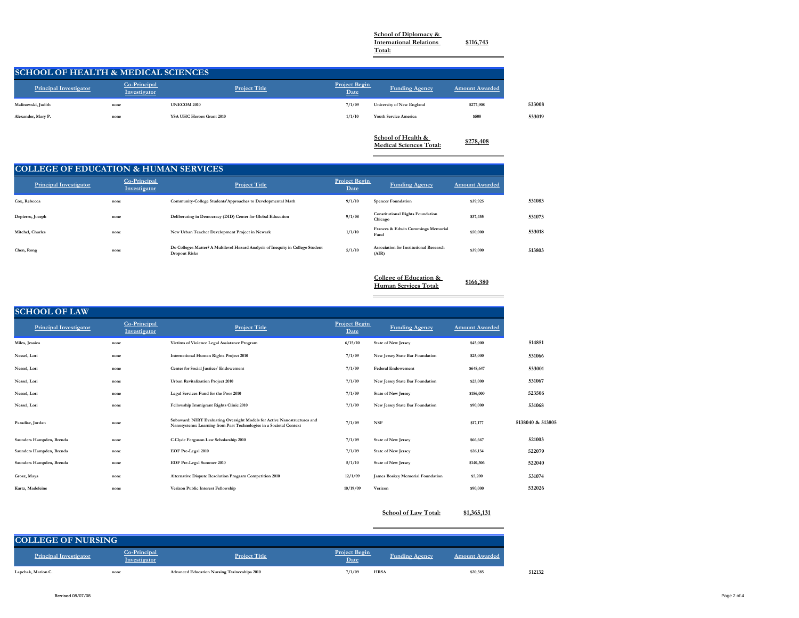**School of Diplomacy & International Relations** 

**Total:**

 $\qquad \qquad =$ 

**\$116,743**

**SCHOOL OF HEALTH & MEDICAL SCIENCES**

| <b>Principal Investigator</b> | Co-Principal<br>Investigator | <b>Project Title</b>             | <b>Project Begin</b><br>Date | <b>Funding Agency</b>                                | <b>Amount Awarded</b> |        |
|-------------------------------|------------------------------|----------------------------------|------------------------------|------------------------------------------------------|-----------------------|--------|
| Malinowski, Judith            | none                         | <b>UNECOM 2010</b>               | 7/1/09                       | University of New England                            | \$277,908             | 533008 |
| Alexander, Mary P.            | none                         | <b>YSA UHC Heroes Grant 2010</b> | 1/1/10                       | <b>Youth Service America</b>                         | \$500                 | 533019 |
|                               |                              |                                  |                              | School of Health &<br><b>Medical Sciences Total:</b> | \$278,408             |        |

# **COLLEGE OF EDUCATION & HUMAN SERVICES**

| <b>Principal Investigator</b> | Co-Principal<br>Investigator | <b>Project Title</b>                                                                                    | <b>Project Begin</b><br>Date | Funding Agency                                         | <b>Amount Awarded</b> |  |
|-------------------------------|------------------------------|---------------------------------------------------------------------------------------------------------|------------------------------|--------------------------------------------------------|-----------------------|--|
| Cox, Rebecca                  | none                         | Community-College Students'Approaches to Developmental Math                                             | 9/1/10                       | <b>Spencer Foundation</b>                              | \$39,925              |  |
| Depierro, Joseph              | none                         | Deliberating in Democracy (DID) Center for Global Education                                             | 9/1/08                       | <b>Constitutional Rights Foundation</b><br>Chicago     | \$37,455              |  |
| Mitchel, Charles              | none                         | New Urban Teacher Development Project in Newark                                                         | 1/1/10                       | Frances & Edwin Cummings Memorial<br>Fund              | \$50,000              |  |
| Chen, Rong                    | none                         | Do Colleges Matter? A Multilevel Hazard Analysis of Inequity in College Student<br><b>Dropout Risks</b> | 5/1/10                       | <b>Association for Institutional Research</b><br>(AIR) | \$39,000              |  |

| <b>College of Education &amp;</b> |           |
|-----------------------------------|-----------|
| Human Services Total:             | \$166,380 |

## **SCHOOL OF LAW**

| <b>Principal Investigator</b> | Co-Principal<br>Investigator | <b>Project Title</b>                                                                                                                           | <b>Project Begin</b><br>Date | <b>Funding Agency</b>                   | <b>Amount Awarded</b> |                  |
|-------------------------------|------------------------------|------------------------------------------------------------------------------------------------------------------------------------------------|------------------------------|-----------------------------------------|-----------------------|------------------|
| Miles, Jessica                | none                         | Victims of Violence Legal Assistance Program                                                                                                   | 6/15/10                      | <b>State of New Jersey</b>              | \$45,000              | 514851           |
| Nessel, Lori                  | none                         | <b>International Human Rights Project 2010</b>                                                                                                 | 7/1/09                       | New Jersey State Bar Foundation         | \$25,000              | 531066           |
| Nessel, Lori                  | none                         | Center for Social Justice/Endowement                                                                                                           | 7/1/09                       | <b>Federal Endowement</b>               | \$648,647             | 533001           |
| Nessel, Lori                  | none                         | <b>Urban Revitalization Project 2010</b>                                                                                                       | 7/1/09                       | New Jersey State Bar Foundation         | \$25,000              | 531067           |
| Nessel, Lori                  | none                         | Legal Services Fund for the Poor 2010                                                                                                          | 7/1/09                       | <b>State of New Jersey</b>              | \$186,000             | 523506           |
| Nessel, Lori                  | none                         | Fellowship Immigrant Rights Clinic 2010                                                                                                        | 7/1/09                       | New Jersey State Bar Foundation         | \$90,000              | 531068           |
| Paradise, Jordan              | none                         | Subaward: NIRT Evaluating Oversight Models for Active Nanostructures and<br>Nanosystems: Learning from Past Technologies in a Societal Context | 7/1/09                       | <b>NSF</b>                              | \$17,177              | 5138040 & 513805 |
| Saunders Hampden, Brenda      | none                         | C.Clyde Ferguson Law Scholarship 2010                                                                                                          | 7/1/09                       | <b>State of New Jersey</b>              | \$66,667              | 521003           |
| Saunders Hampden, Brenda      | none                         | <b>EOF Pre-Legal 2010</b>                                                                                                                      | 7/1/09                       | <b>State of New Jersey</b>              | \$26,134              | 522079           |
| Saunders Hampden, Brenda      | none                         | EOF Pre-Legal Summer 2010                                                                                                                      | 5/1/10                       | <b>State of New Jersey</b>              | \$140,306             | 522040           |
| Grosz, Maya                   | none                         | <b>Alternative Dispute Resolution Program Competition 2010</b>                                                                                 | 12/1/09                      | <b>James Boskey Memorial Foundation</b> | \$5,200               | 531074           |
| Kurtz, Madeleine              | none                         | Verizon Public Interest Fellowship                                                                                                             | 10/19/09                     | Verizon                                 | \$90,000              | 532026           |

#### **School of Law Total: \$1,365,131**

| <b>COLLEGE OF NURSING</b>     |                                     |                                                     |                                                       |                       |        |
|-------------------------------|-------------------------------------|-----------------------------------------------------|-------------------------------------------------------|-----------------------|--------|
| <b>Principal Investigator</b> | Co-Principal<br><b>Investigator</b> | <b>Project Title</b>                                | <b>Project Begin</b><br><b>Funding Agency</b><br>Date | <b>Amount Awarded</b> |        |
| Lapchak, Marion C.            | none                                | <b>Advanced Education Nursing Traineeships 2010</b> | 7/1/09<br><b>HRSA</b>                                 | \$20,385              | 512132 |



| 531083         |  |  |
|----------------|--|--|
| 531073         |  |  |
| 533018         |  |  |
| $\blacksquare$ |  |  |

| 514851       |
|--------------|
| 531066       |
| 533001       |
| 531067       |
| 523506       |
| 531068       |
| 040 & 513805 |

| 521003 |  |  |
|--------|--|--|
| 522079 |  |  |
| 522040 |  |  |
| 531074 |  |  |
| 532026 |  |  |
|        |  |  |

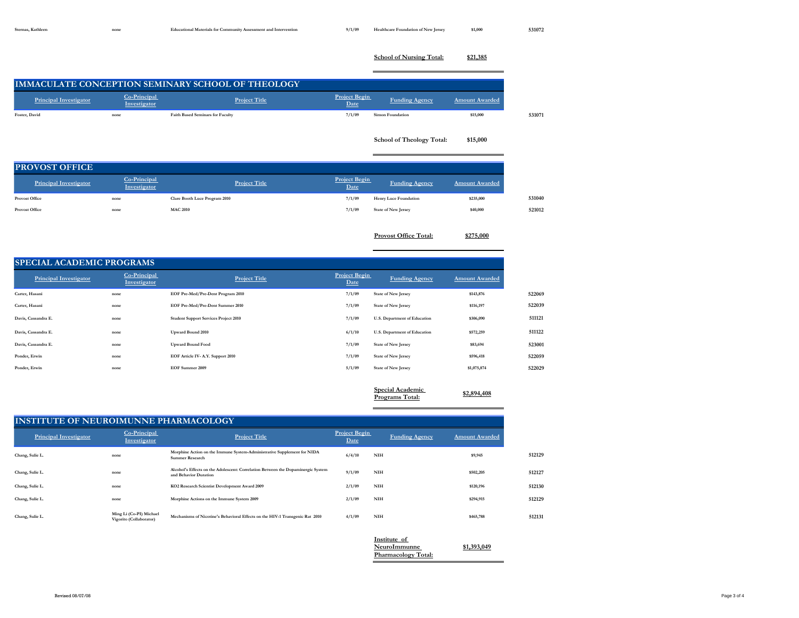**School of Nursing Total: \$21,385**

**IMMACULATE CONCEPTION SEMINARY SCHOOL OF THEOLOGY Principal Investigator Co-Principal Investigator Project Title Project Begin Project Begin**<br> **Eunding Agency Amount Awarded Foster, David 1993 1994 1997 1000 531071 531071 531071 School of Theology Total: \$15,000**

### **PROVOST OFFICE**

| <b>Principal Investigator</b> | Co-Principal<br>Investigator | <b>Project Title</b>          | <b>Project Begin</b><br>Date | <b>Funding Agency</b>        | <b>Amount Awarded</b> |        |
|-------------------------------|------------------------------|-------------------------------|------------------------------|------------------------------|-----------------------|--------|
| <b>Provost Office</b>         | none                         | Clare Booth Luce Program 2010 | 7/1/09                       | <b>Henry Luce Foundation</b> | \$235,000             | 531040 |
| <b>Provost Office</b>         | none                         | <b>MAC 2010</b>               | 7/1/09                       | <b>State of New Jersey</b>   | \$40,000              | 521012 |
|                               |                              |                               |                              |                              |                       |        |

**Provost Office Total: \$275,000**

**SPECIAL ACADEMIC PROGRAMS**

| <b>Principal Investigator</b> | Co-Principal<br>Investigator | <b>Project Title</b>                         | <b>Project Begin</b><br>Date | <b>Funding Agency</b>                             | <b>Amount Awarded</b> |
|-------------------------------|------------------------------|----------------------------------------------|------------------------------|---------------------------------------------------|-----------------------|
| Carter, Hasani                | none                         | EOF Pre-Med/Pre-Dent Program 2010            | 7/1/09                       | <b>State of New Jersey</b>                        | \$143,876             |
| Carter, Hasani                | none                         | EOF Pre-Med/Pre-Dent Summer 2010             | 7/1/09                       | <b>State of New Jersey</b>                        | \$116,197             |
| Davis, Cassandra E.           | none                         | <b>Student Support Services Project 2010</b> | 7/1/09                       | U.S. Department of Education                      | \$306,090             |
| Davis, Cassandra E.           | none                         | <b>Upward Bound 2010</b>                     | 6/1/10                       | U.S. Department of Education                      | \$572,259             |
| Davis, Cassandra E.           | none                         | <b>Upward Bound Food</b>                     | 7/1/09                       | <b>State of New Jersey</b>                        | \$83,694              |
| Ponder, Erwin                 | none                         | EOF Article IV-A.Y. Support 2010             | 7/1/09                       | <b>State of New Jersey</b>                        | \$596,418             |
| Ponder, Erwin                 | none                         | <b>EOF Summer 2009</b>                       | 5/1/09                       | <b>State of New Jersey</b>                        | \$1,075,874           |
|                               |                              |                                              |                              |                                                   |                       |
|                               |                              |                                              |                              | <b>Special Academic</b><br><b>Programs Total:</b> | \$2,894,408           |

#### **INSTITUTE OF NEUROIMUNNE PHARMACOLOGY**

| <b>Principal Investigator</b> | Co-Principal<br>Investigator                       | <b>Project Title</b>                                                                                      | <b>Project Begin</b><br>Date |            | <b>Funding Agency</b> | <b>Amount Awarded</b> |        |
|-------------------------------|----------------------------------------------------|-----------------------------------------------------------------------------------------------------------|------------------------------|------------|-----------------------|-----------------------|--------|
| Chang, Sulie L.               | none                                               | Morphine Action on the Immune System-Administrative Supplement for NIDA<br><b>Summer Research</b>         | 6/4/10                       | <b>NIH</b> |                       | \$9,945               | 512129 |
| Chang, Sulie L.               | none                                               | Alcohol's Effects on the Adolescent: Correlation Between the Dopaminergic System<br>and Behavior Duration | 9/1/09                       | <b>NIH</b> |                       | \$502,205             | 512127 |
| Chang, Sulie L.               | none                                               | KO2 Research Scientist Development Award 2009                                                             | 2/1/09                       | <b>NIH</b> |                       | \$120,196             | 512130 |
| Chang, Sulie L.               | none                                               | Morphine Actions on the Immune System 2009                                                                | 2/1/09                       | <b>NIH</b> |                       | \$294,915             | 512129 |
| Chang, Sulie L.               | Ming Li (Co-PI) Michael<br>Vigorito (Collaborator) | Mechanisms of Nicotine's Behavioral Effects on the HIV-1 Transgenic Rat 2010                              | 4/1/09                       | <b>NIH</b> |                       | \$465,788             | 512131 |

**Institute of**